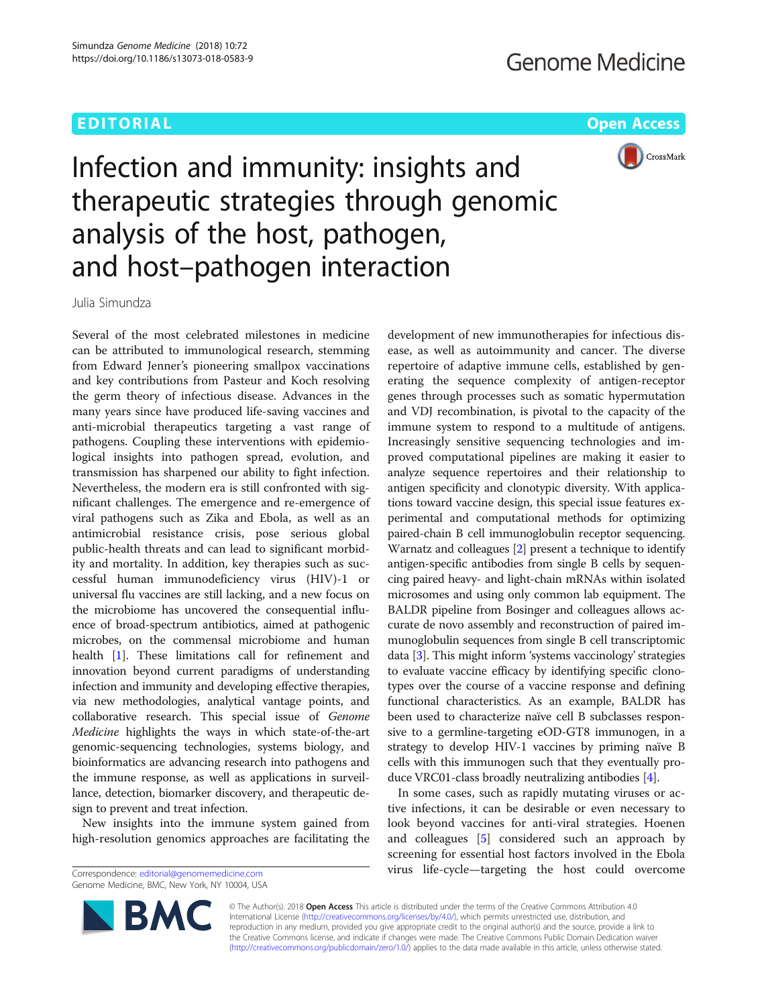# EDITORIAL AND Open Access to the contract of the contract of the contract of the contract of the contract of the contract of the contract of the contract of the contract of the contract of the contract of the contract of t



# Infection and immunity: insights and therapeutic strategies through genomic analysis of the host, pathogen, and host–pathogen interaction

Julia Simundza

Several of the most celebrated milestones in medicine can be attributed to immunological research, stemming from Edward Jenner's pioneering smallpox vaccinations and key contributions from Pasteur and Koch resolving the germ theory of infectious disease. Advances in the many years since have produced life-saving vaccines and anti-microbial therapeutics targeting a vast range of pathogens. Coupling these interventions with epidemiological insights into pathogen spread, evolution, and transmission has sharpened our ability to fight infection. Nevertheless, the modern era is still confronted with significant challenges. The emergence and re-emergence of viral pathogens such as Zika and Ebola, as well as an antimicrobial resistance crisis, pose serious global public-health threats and can lead to significant morbidity and mortality. In addition, key therapies such as successful human immunodeficiency virus (HIV)-1 or universal flu vaccines are still lacking, and a new focus on the microbiome has uncovered the consequential influence of broad-spectrum antibiotics, aimed at pathogenic microbes, on the commensal microbiome and human health [\[1\]](#page-2-0). These limitations call for refinement and innovation beyond current paradigms of understanding infection and immunity and developing effective therapies, via new methodologies, analytical vantage points, and collaborative research. This special issue of Genome Medicine highlights the ways in which state-of-the-art genomic-sequencing technologies, systems biology, and bioinformatics are advancing research into pathogens and the immune response, as well as applications in surveillance, detection, biomarker discovery, and therapeutic design to prevent and treat infection.

New insights into the immune system gained from high-resolution genomics approaches are facilitating the

Genome Medicine, BMC, New York, NY 10004, USA

development of new immunotherapies for infectious disease, as well as autoimmunity and cancer. The diverse repertoire of adaptive immune cells, established by generating the sequence complexity of antigen-receptor genes through processes such as somatic hypermutation and VDJ recombination, is pivotal to the capacity of the immune system to respond to a multitude of antigens. Increasingly sensitive sequencing technologies and improved computational pipelines are making it easier to analyze sequence repertoires and their relationship to antigen specificity and clonotypic diversity. With applications toward vaccine design, this special issue features experimental and computational methods for optimizing paired-chain B cell immunoglobulin receptor sequencing. Warnatz and colleagues [\[2\]](#page-2-0) present a technique to identify antigen-specific antibodies from single B cells by sequencing paired heavy- and light-chain mRNAs within isolated microsomes and using only common lab equipment. The BALDR pipeline from Bosinger and colleagues allows accurate de novo assembly and reconstruction of paired immunoglobulin sequences from single B cell transcriptomic data [\[3](#page-2-0)]. This might inform 'systems vaccinology' strategies to evaluate vaccine efficacy by identifying specific clonotypes over the course of a vaccine response and defining functional characteristics. As an example, BALDR has been used to characterize naïve cell B subclasses responsive to a germline-targeting eOD-GT8 immunogen, in a strategy to develop HIV-1 vaccines by priming naïve B cells with this immunogen such that they eventually produce VRC01-class broadly neutralizing antibodies [\[4](#page-2-0)].

In some cases, such as rapidly mutating viruses or active infections, it can be desirable or even necessary to look beyond vaccines for anti-viral strategies. Hoenen and colleagues [[5\]](#page-2-0) considered such an approach by screening for essential host factors involved in the Ebola virus life-cycle—targeting the host could overcome Correspondence: [editorial@genomemedicine.com](mailto:editorial@genomemedicine.com)



© The Author(s). 2018 Open Access This article is distributed under the terms of the Creative Commons Attribution 4.0 International License [\(http://creativecommons.org/licenses/by/4.0/](http://creativecommons.org/licenses/by/4.0/)), which permits unrestricted use, distribution, and reproduction in any medium, provided you give appropriate credit to the original author(s) and the source, provide a link to the Creative Commons license, and indicate if changes were made. The Creative Commons Public Domain Dedication waiver [\(http://creativecommons.org/publicdomain/zero/1.0/](http://creativecommons.org/publicdomain/zero/1.0/)) applies to the data made available in this article, unless otherwise stated.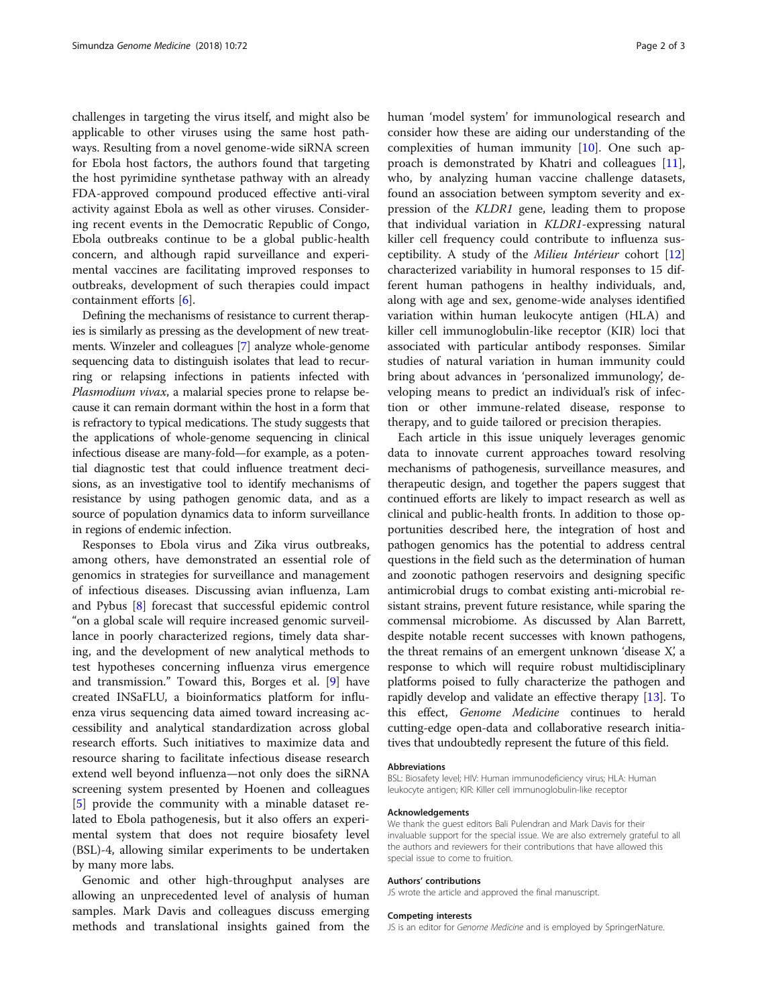challenges in targeting the virus itself, and might also be applicable to other viruses using the same host pathways. Resulting from a novel genome-wide siRNA screen for Ebola host factors, the authors found that targeting the host pyrimidine synthetase pathway with an already FDA-approved compound produced effective anti-viral activity against Ebola as well as other viruses. Considering recent events in the Democratic Republic of Congo, Ebola outbreaks continue to be a global public-health concern, and although rapid surveillance and experimental vaccines are facilitating improved responses to outbreaks, development of such therapies could impact containment efforts [\[6](#page-2-0)].

Defining the mechanisms of resistance to current therapies is similarly as pressing as the development of new treatments. Winzeler and colleagues [\[7](#page-2-0)] analyze whole-genome sequencing data to distinguish isolates that lead to recurring or relapsing infections in patients infected with Plasmodium vivax, a malarial species prone to relapse because it can remain dormant within the host in a form that is refractory to typical medications. The study suggests that the applications of whole-genome sequencing in clinical infectious disease are many-fold—for example, as a potential diagnostic test that could influence treatment decisions, as an investigative tool to identify mechanisms of resistance by using pathogen genomic data, and as a source of population dynamics data to inform surveillance in regions of endemic infection.

Responses to Ebola virus and Zika virus outbreaks, among others, have demonstrated an essential role of genomics in strategies for surveillance and management of infectious diseases. Discussing avian influenza, Lam and Pybus [\[8](#page-2-0)] forecast that successful epidemic control "on a global scale will require increased genomic surveillance in poorly characterized regions, timely data sharing, and the development of new analytical methods to test hypotheses concerning influenza virus emergence and transmission." Toward this, Borges et al. [\[9](#page-2-0)] have created INSaFLU, a bioinformatics platform for influenza virus sequencing data aimed toward increasing accessibility and analytical standardization across global research efforts. Such initiatives to maximize data and resource sharing to facilitate infectious disease research extend well beyond influenza—not only does the siRNA screening system presented by Hoenen and colleagues [[5\]](#page-2-0) provide the community with a minable dataset related to Ebola pathogenesis, but it also offers an experimental system that does not require biosafety level (BSL)-4, allowing similar experiments to be undertaken by many more labs.

Genomic and other high-throughput analyses are allowing an unprecedented level of analysis of human samples. Mark Davis and colleagues discuss emerging methods and translational insights gained from the human 'model system' for immunological research and consider how these are aiding our understanding of the complexities of human immunity [[10](#page-2-0)]. One such approach is demonstrated by Khatri and colleagues [\[11](#page-2-0)], who, by analyzing human vaccine challenge datasets, found an association between symptom severity and expression of the KLDR1 gene, leading them to propose that individual variation in KLDR1-expressing natural killer cell frequency could contribute to influenza susceptibility. A study of the Milieu Intérieur cohort [[12](#page-2-0)] characterized variability in humoral responses to 15 different human pathogens in healthy individuals, and, along with age and sex, genome-wide analyses identified variation within human leukocyte antigen (HLA) and killer cell immunoglobulin-like receptor (KIR) loci that associated with particular antibody responses. Similar studies of natural variation in human immunity could bring about advances in 'personalized immunology', developing means to predict an individual's risk of infection or other immune-related disease, response to therapy, and to guide tailored or precision therapies.

Each article in this issue uniquely leverages genomic data to innovate current approaches toward resolving mechanisms of pathogenesis, surveillance measures, and therapeutic design, and together the papers suggest that continued efforts are likely to impact research as well as clinical and public-health fronts. In addition to those opportunities described here, the integration of host and pathogen genomics has the potential to address central questions in the field such as the determination of human and zoonotic pathogen reservoirs and designing specific antimicrobial drugs to combat existing anti-microbial resistant strains, prevent future resistance, while sparing the commensal microbiome. As discussed by Alan Barrett, despite notable recent successes with known pathogens, the threat remains of an emergent unknown 'disease X', a response to which will require robust multidisciplinary platforms poised to fully characterize the pathogen and rapidly develop and validate an effective therapy [[13](#page-2-0)]. To this effect, Genome Medicine continues to herald cutting-edge open-data and collaborative research initiatives that undoubtedly represent the future of this field.

#### Abbreviations

BSL: Biosafety level; HIV: Human immunodeficiency virus; HLA: Human leukocyte antigen; KIR: Killer cell immunoglobulin-like receptor

#### Acknowledgements

We thank the guest editors Bali Pulendran and Mark Davis for their invaluable support for the special issue. We are also extremely grateful to all the authors and reviewers for their contributions that have allowed this special issue to come to fruition.

### Authors' contributions

JS wrote the article and approved the final manuscript.

#### Competing interests

JS is an editor for Genome Medicine and is employed by SpringerNature.